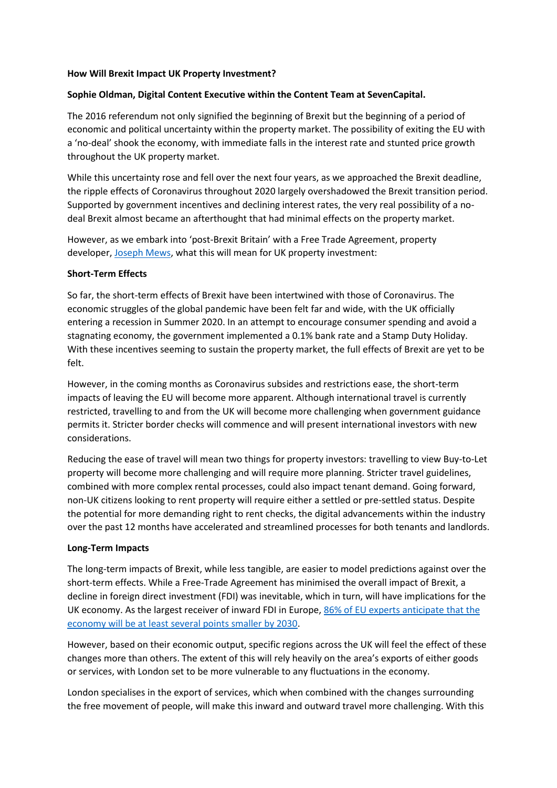### **How Will Brexit Impact UK Property Investment?**

## **Sophie Oldman, Digital Content Executive within the Content Team at SevenCapital.**

The 2016 referendum not only signified the beginning of Brexit but the beginning of a period of economic and political uncertainty within the property market. The possibility of exiting the EU with a 'no-deal' shook the economy, with immediate falls in the interest rate and stunted price growth throughout the UK property market.

While this uncertainty rose and fell over the next four years, as we approached the Brexit deadline, the ripple effects of Coronavirus throughout 2020 largely overshadowed the Brexit transition period. Supported by government incentives and declining interest rates, the very real possibility of a nodeal Brexit almost became an afterthought that had minimal effects on the property market.

However, as we embark into 'post-Brexit Britain' with a Free Trade Agreement, property developer, [Joseph Mews,](https://joseph-mews.com/?utm_medium=email&utm_source=development%20email&utm_campaign=brand%20&utm_content=joseph%20mews%20launch%20email) what this will mean for UK property investment:

### **Short-Term Effects**

So far, the short-term effects of Brexit have been intertwined with those of Coronavirus. The economic struggles of the global pandemic have been felt far and wide, with the UK officially entering a recession in Summer 2020. In an attempt to encourage consumer spending and avoid a stagnating economy, the government implemented a 0.1% bank rate and a Stamp Duty Holiday. With these incentives seeming to sustain the property market, the full effects of Brexit are yet to be felt.

However, in the coming months as Coronavirus subsides and restrictions ease, the short-term impacts of leaving the EU will become more apparent. Although international travel is currently restricted, travelling to and from the UK will become more challenging when government guidance permits it. Stricter border checks will commence and will present international investors with new considerations.

Reducing the ease of travel will mean two things for property investors: travelling to view Buy-to-Let property will become more challenging and will require more planning. Stricter travel guidelines, combined with more complex rental processes, could also impact tenant demand. Going forward, non-UK citizens looking to rent property will require either a settled or pre-settled status. Despite the potential for more demanding right to rent checks, the digital advancements within the industry over the past 12 months have accelerated and streamlined processes for both tenants and landlords.

### **Long-Term Impacts**

The long-term impacts of Brexit, while less tangible, are easier to model predictions against over the short-term effects. While a Free-Trade Agreement has minimised the overall impact of Brexit, a decline in foreign direct investment (FDI) was inevitable, which in turn, will have implications for the UK economy. As the largest receiver of inward FDI in Europe, 86% of EU experts anticipate that the [economy will be at least several points smaller by 2030.](https://www.ucl.ac.uk/news/2020/oct/foreign-investment-expected-fall-37-post-brexit)

However, based on their economic output, specific regions across the UK will feel the effect of these changes more than others. The extent of this will rely heavily on the area's exports of either goods or services, with London set to be more vulnerable to any fluctuations in the economy.

London specialises in the export of services, which when combined with the changes surrounding the free movement of people, will make this inward and outward travel more challenging. With this